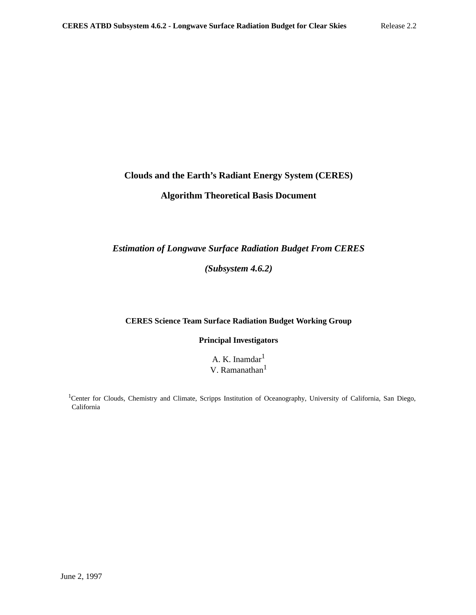# **Clouds and the Earth's Radiant Energy System (CERES)**

## **Algorithm Theoretical Basis Document**

## *Estimation of Longwave Surface Radiation Budget From CERES*

*(Subsystem 4.6.2)*

## **CERES Science Team Surface Radiation Budget Working Group**

**Principal Investigators**

A. K. Inamdar<sup>1</sup> V. Ramanathan<sup>1</sup>

<sup>1</sup>Center for Clouds, Chemistry and Climate, Scripps Institution of Oceanography, University of California, San Diego, California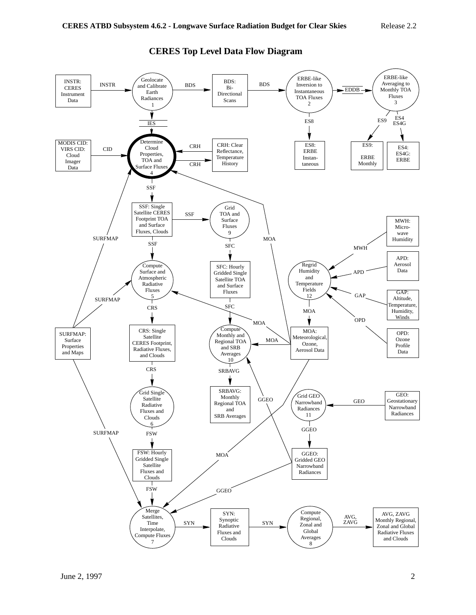

# **CERES Top Level Data Flow Diagram**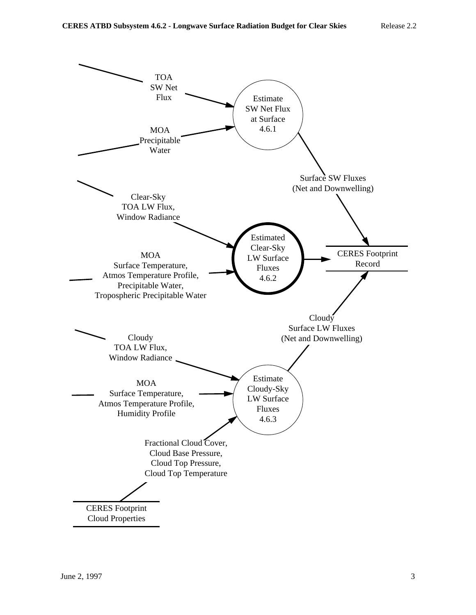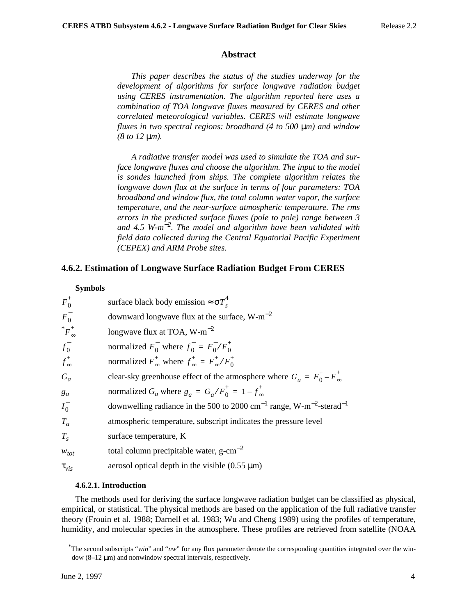#### **Abstract**

*This paper describes the status of the studies underway for the development of algorithms for surface longwave radiation budget using CERES instrumentation. The algorithm reported here uses a combination of TOA longwave fluxes measured by CERES and other correlated meteorological variables. CERES will estimate longwave fluxes in two spectral regions: broadband (4 to 500* µ*m) and window (8 to 12* µ*m).*

*A radiative transfer model was used to simulate the TOA and surface longwave fluxes and choose the algorithm. The input to the model is sondes launched from ships. The complete algorithm relates the longwave down flux at the surface in terms of four parameters: TOA broadband and window flux, the total column water vapor, the surface temperature, and the near-surface atmospheric temperature. The rms errors in the predicted surface fluxes (pole to pole) range between 3 and 4.5 W-m*−*<sup>2</sup> . The model and algorithm have been validated with field data collected during the Central Equatorial Pacific Experiment (CEPEX) and ARM Probe sites.*

### **4.6.2. Estimation of Longwave Surface Radiation Budget From CERES**

#### **Symbols**

| $F_0^+$          | surface black body emission $\approx \sigma T_c^4$                                                      |
|------------------|---------------------------------------------------------------------------------------------------------|
| $F_0^-$          | downward longwave flux at the surface, $W-m^{-2}$                                                       |
| $^*F_{\infty}^+$ | longwave flux at TOA, $W-m^{-2}$                                                                        |
| $f_0^-$          | normalized $F_0^-$ where $f_0^- = F_0^- / F_0^+$                                                        |
| $f_{\infty}^+$   | normalized $F_{\infty}^+$ where $f_{\infty}^+ = F_{\infty}^+ / F_{0}^+$                                 |
| $G_a$            | clear-sky greenhouse effect of the atmosphere where $G_a = F_0^+ - F_\infty^+$                          |
| $g_a$            | normalized $G_a$ where $g_a = G_a/F_0^+ = 1 - f_\infty^+$                                               |
| $I_0^-$          | downwelling radiance in the 500 to 2000 cm <sup>-1</sup> range, W-m <sup>-2</sup> -sterad <sup>-1</sup> |
| $T_a$            | atmospheric temperature, subscript indicates the pressure level                                         |
| $T_{\rm s}$      | surface temperature, K                                                                                  |
| $W_{tot}$        | total column precipitable water, $g-cm^{-2}$                                                            |
| $\tau_{vis}$     | aerosol optical depth in the visible $(0.55 \mu m)$                                                     |

#### **4.6.2.1. Introduction**

The methods used for deriving the surface longwave radiation budget can be classified as physical, empirical, or statistical. The physical methods are based on the application of the full radiative transfer theory (Frouin et al. 1988; Darnell et al. 1983; Wu and Cheng 1989) using the profiles of temperature, humidity, and molecular species in the atmosphere. These profiles are retrieved from satellite (NOAA

<sup>\*</sup>The second subscripts "*win*" and "*nw*" for any flux parameter denote the corresponding quantities integrated over the window (8–12 µm) and nonwindow spectral intervals, respectively.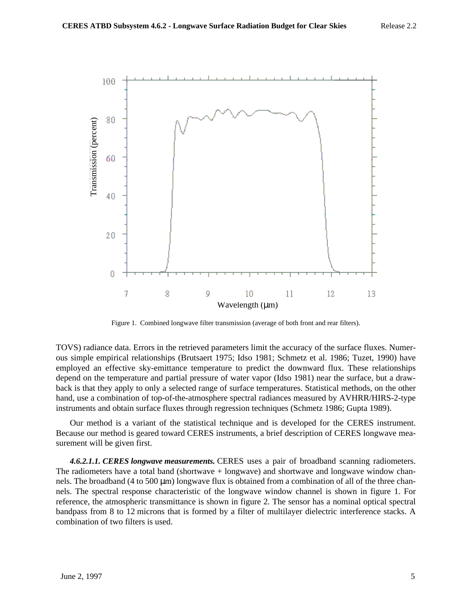

Figure 1. Combined longwave filter transmission (average of both front and rear filters).

TOVS) radiance data. Errors in the retrieved parameters limit the accuracy of the surface fluxes. Numerous simple empirical relationships (Brutsaert 1975; Idso 1981; Schmetz et al. 1986; Tuzet, 1990) have employed an effective sky-emittance temperature to predict the downward flux. These relationships depend on the temperature and partial pressure of water vapor (Idso 1981) near the surface, but a drawback is that they apply to only a selected range of surface temperatures. Statistical methods, on the other hand, use a combination of top-of-the-atmosphere spectral radiances measured by AVHRR/HIRS-2-type instruments and obtain surface fluxes through regression techniques (Schmetz 1986; Gupta 1989).

Our method is a variant of the statistical technique and is developed for the CERES instrument. Because our method is geared toward CERES instruments, a brief description of CERES longwave measurement will be given first.

*4.6.2.1.1. CERES longwave measurements.* CERES uses a pair of broadband scanning radiometers. The radiometers have a total band (shortwave + longwave) and shortwave and longwave window channels. The broadband (4 to 500  $\mu$ m) longwave flux is obtained from a combination of all of the three channels. The spectral response characteristic of the longwave window channel is shown in figure 1. For reference, the atmospheric transmittance is shown in figure 2. The sensor has a nominal optical spectral bandpass from 8 to 12 microns that is formed by a filter of multilayer dielectric interference stacks. A combination of two filters is used.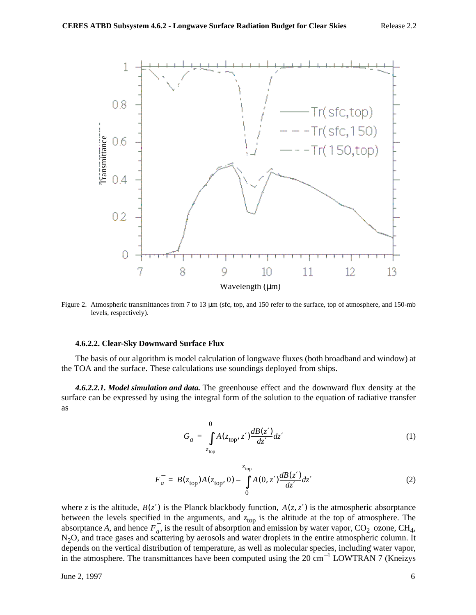

Figure 2. Atmospheric transmittances from 7 to 13  $\mu$ m (sfc, top, and 150 refer to the surface, top of atmosphere, and 150-mb

#### **4.6.2.2. Clear-Sky Downward Surface Flux**

The basis of our algorithm is model calculation of longwave fluxes (both broadband and window) at the TOA and the surface. These calculations use soundings deployed from ships.

*4.6.2.2.1. Model simulation and data.* The greenhouse effect and the downward flux density at the surface can be expressed by using the integral form of the solution to the equation of radiative transfer as

$$
G_a = \int_{z_{\text{top}}}^{0} A(z_{\text{top}}, z') \frac{dB(z')}{dz'} dz'
$$
 (1)

$$
F_a^- = B(z_{\text{top}})A(z_{\text{top}}, 0) - \int_{0}^{z_{\text{top}}} A(0, z') \frac{dB(z')}{dz'} dz'
$$
 (2)

where *z* is the altitude,  $B(z')$  is the Planck blackbody function,  $A(z, z')$  is the atmospheric absorptance between the levels specified in the arguments, and  $z<sub>top</sub>$  is the altitude at the top of atmosphere. The absorptance *A*, and hence  $F_a$ , is the result of absorption and emission by water vapor, CO<sub>2</sub> ozone, CH<sub>4</sub>, depends on the vertical distribution of temperature, as well as molecular species, including water vapor, N<sub>2</sub>O, and trace gases and scattering by aerosols and water droplets in the entire atmospheric column. It in the atmosphere. The transmittances have been computed using the 20 cm−<sup>1</sup> LOWTRAN 7 (Kneizys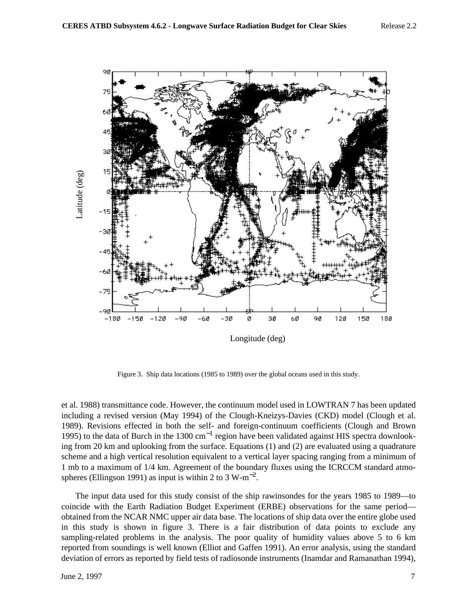

Figure 3. Ship data locations (1985 to 1989) over the global oceans used in this study.

et al. 1988) transmittance code. However, the continuum model used in LOWTRAN 7 has been updated including a revised version (May 1994) of the Clough-Kneizys-Davies (CKD) model (Clough et al. 1989). Revisions effected in both the self- and foreign-continuum coefficients (Clough and Brown 1995) to the data of Burch in the 1300 cm<sup>-1</sup> region have been validated against HIS spectra downlooking from 20 km and uplooking from the surface. Equations (1) and (2) are evaluated using a quadrature scheme and a high vertical resolution equivalent to a vertical layer spacing ranging from a minimum of 1 mb to a maximum of 1/4 km. Agreement of the boundary fluxes using the ICRCCM standard atmospheres (Ellingson 1991) as input is within 2 to 3 W-m<sup>-2</sup>.

The input data used for this study consist of the ship rawinsondes for the years 1985 to 1989—to coincide with the Earth Radiation Budget Experiment (ERBE) observations for the same period obtained from the NCAR NMC upper air data base. The locations of ship data over the entire globe used in this study is shown in figure 3. There is a fair distribution of data points to exclude any sampling-related problems in the analysis. The poor quality of humidity values above 5 to 6 km reported from soundings is well known (Elliot and Gaffen 1991). An error analysis, using the standard deviation of errors as reported by field tests of radiosonde instruments (Inamdar and Ramanathan 1994),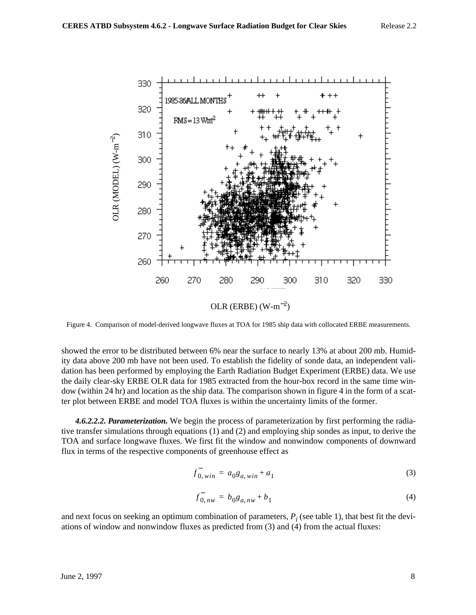

showed the error to be distributed between 6% near the surface to nearly 13% at about 200 mb. Humidity data above 200 mb have not been used. To establish the fidelity of sonde data, an independent validation has been performed by employing the Earth Radiation Budget Experiment (ERBE) data. We use the daily clear-sky ERBE OLR data for 1985 extracted from the hour-box record in the same time window (within 24 hr) and location as the ship data. The comparison shown in figure 4 in the form of a scatter plot between ERBE and model TOA fluxes is within the uncertainty limits of the former.

*4.6.2.2.2. Parameterization.* We begin the process of parameterization by first performing the radiative transfer simulations through equations (1) and (2) and employing ship sondes as input, to derive the TOA and surface longwave fluxes. We first fit the window and nonwindow components of downward flux in terms of the respective components of greenhouse effect as

$$
f_{0, win}^- = a_0 g_{a, win} + a_1 \tag{3}
$$

$$
f_{0, \, nw}^- = b_0 g_{a, \, nw} + b_1 \tag{4}
$$

and next focus on seeking an optimum combination of parameters,  $P_i$  (see table 1), that best fit the deviations of window and nonwindow fluxes as predicted from (3) and (4) from the actual fluxes: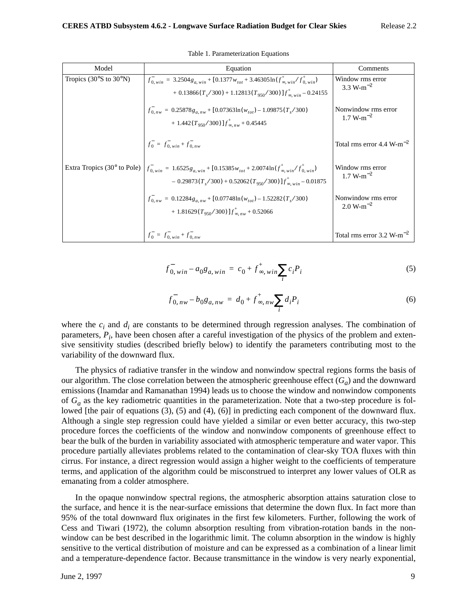| Model                                           | Equation                                                                                                                                                                                | Comments                              |
|-------------------------------------------------|-----------------------------------------------------------------------------------------------------------------------------------------------------------------------------------------|---------------------------------------|
| Tropics $(30^{\circ}S \text{ to } 30^{\circ}N)$ | $f_{0, win}^{-} = 3.2504 g_{a, win} + [0.1377 w_{tot} + 3.46305 \ln(f_{\infty, win}^{+}/f_{0, win}^{+})$<br>+ $0.13866(T_s/300)$ + $1.12813(T_{950}/300)$ $]f_{\infty,win}^+$ – 0.24155 | Window rms error<br>3.3 W- $m^{-2}$   |
|                                                 | $f_{0,nw}$ = 0.25878 $g_{a,nw}$ + [0.07363ln( $w_{tot}$ ) – 1.09875( $T_s$ /300)<br>+ 1.442( $T_{950}/300$ )] $f_{\infty}^{+}$ $_{nw}$ + 0.45445                                        | Nonwindow rms error<br>$1.7 W-m^{-2}$ |
|                                                 | $f_0^- = f_{0.win}^- + f_{0.nw}^-$                                                                                                                                                      | Total rms error 4.4 W- $m^{-2}$       |
| Extra Tropics $(30^{\circ}$ to Pole)            | $f_{0, win}^{-} = 1.6525 g_{a, win} + [0.15385 w_{tot} + 2.0074 \ln(f_{\infty, win}^{+}/f_{0, win}^{+})]$<br>$-0.29873(T_s/300) + 0.52062(T_{950}/300)]f_{\infty, win}^{+} - 0.01875$   | Window rms error<br>$1.7 W-m^{-2}$    |
|                                                 | $f_{0,nw}^- = 0.12284 g_{a,nw} + [0.07748 \ln(w_{tot}) - 1.52282 (T_s / 300)$<br>+ 1.81629( $T_{950}/300$ )] $f_{\infty n w}^{+}$ + 0.52066                                             | Nonwindow rms error<br>$2.0 W-m^{-2}$ |
|                                                 | $f_0^- = f_0^-$ win + $f_0^-$ nw                                                                                                                                                        | Total rms error 3.2 W-m <sup>-</sup>  |

Table 1. Parameterization Equations

$$
f_{0, win}^- - a_0 g_{a, win} = c_0 + f_{\infty, win}^+ \sum_i c_i P_i
$$
 (5)

$$
f_{0, \, nw}^- - b_0 g_{a, \, nw} = d_0 + f_{\infty, \, nw}^+ \sum_i d_i P_i \tag{6}
$$

where the  $c_i$  and  $d_i$  are constants to be determined through regression analyses. The combination of parameters,  $P_i$ , have been chosen after a careful investigation of the physics of the problem and extensive sensitivity studies (described briefly below) to identify the parameters contributing most to the variability of the downward flux.

The physics of radiative transfer in the window and nonwindow spectral regions forms the basis of our algorithm. The close correlation between the atmospheric greenhouse effect  $(G_a)$  and the downward emissions (Inamdar and Ramanathan 1994) leads us to choose the window and nonwindow components of  $G_a$  as the key radiometric quantities in the parameterization. Note that a two-step procedure is followed [the pair of equations (3), (5) and (4), (6)] in predicting each component of the downward flux. Although a single step regression could have yielded a similar or even better accuracy, this two-step procedure forces the coefficients of the window and nonwindow components of greenhouse effect to bear the bulk of the burden in variability associated with atmospheric temperature and water vapor. This procedure partially alleviates problems related to the contamination of clear-sky TOA fluxes with thin cirrus. For instance, a direct regression would assign a higher weight to the coefficients of temperature terms, and application of the algorithm could be misconstrued to interpret any lower values of OLR as emanating from a colder atmosphere.

In the opaque nonwindow spectral regions, the atmospheric absorption attains saturation close to the surface, and hence it is the near-surface emissions that determine the down flux. In fact more than 95% of the total downward flux originates in the first few kilometers. Further, following the work of Cess and Tiwari (1972), the column absorption resulting from vibration-rotation bands in the nonwindow can be best described in the logarithmic limit. The column absorption in the window is highly sensitive to the vertical distribution of moisture and can be expressed as a combination of a linear limit and a temperature-dependence factor. Because transmittance in the window is very nearly exponential,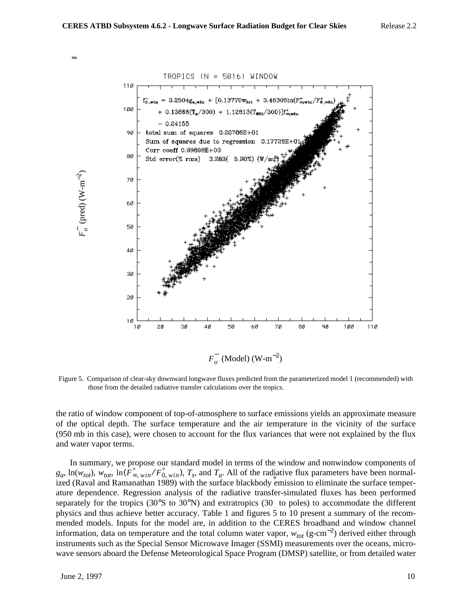

Figure 5. Comparison of clear-sky downward longwave fluxes predicted from the parameterized model 1 (recommended) with those from the detailed radiative transfer calculations over the tropics.

the ratio of window component of top-of-atmosphere to surface emissions yields an approximate measure of the optical depth. The surface temperature and the air temperature in the vicinity of the surface (950 mb in this case), were chosen to account for the flux variances that were not explained by the flux and water vapor terms.

In summary, we propose our standard model in terms of the window and nonwindow components of  $g_a$ ,  $\ln(w_{tot})$ ,  $w_{tot}$ ,  $\ln(\overrightarrow{F}_{\infty,win}^+ / \overrightarrow{F}_{0,win})$ ,  $T_s$ , and  $T_a$ . All of the radiative flux parameters have been normalized (Raval and Ramanathan 1989) with the surface blackbody emission to eliminate the surface temperature dependence. Regression analysis of the radiative transfer-simulated fluxes has been performed separately for the tropics (30°S to 30°N) and extratropics (30 to poles) to accommodate the different physics and thus achieve better accuracy. Table 1 and figures 5 to 10 present a summary of the recommended models. Inputs for the model are, in addition to the CERES broadband and window channel information, data on temperature and the total column water vapor,  $w_{tot}$  (g-cm<sup>-2</sup>) derived either through instruments such as the Special Sensor Microwave Imager (SSMI) measurements over the oceans, microwave sensors aboard the Defense Meteorological Space Program (DMSP) satellite, or from detailed water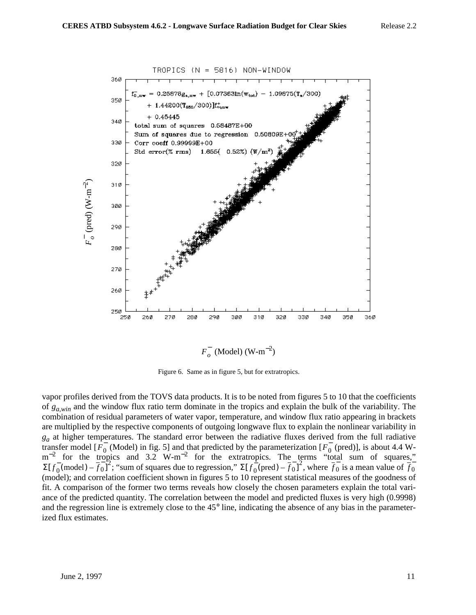

 $F_{o}^{-}$  (Model) (W-m<sup>-2</sup>)

Figure 6. Same as in figure 5, but for extratropics.

vapor profiles derived from the TOVS data products. It is to be noted from figures 5 to 10 that the coefficients of *ga*,*win* and the window flux ratio term dominate in the tropics and explain the bulk of the variability. The combination of residual parameters of water vapor, temperature, and window flux ratio appearing in brackets are multiplied by the respective components of outgoing longwave flux to explain the nonlinear variability in  $g_a$  at higher temperatures. The standard error between the radiative fluxes derived from the full radiative transfer model [ $F_0$  (Model) in fig. 5] and that predicted by the parameterization [ $F_0$  (pred)], is about 4.4 W $m^{-2}$  for the tropics and 3.2 W-m<sup>-2</sup> for the extratropics. The terms "total sum of squares," ; "sum of squares due to regression,"  $\Sigma[f_0(\text{pred}) - f_0]^2$ , where  $f_0$  is a mean value of (model); and correlation coefficient shown in figures 5 to 10 represent statistical measures of the goodness of fit. A comparison of the former two terms reveals how closely the chosen parameters explain the total variance of the predicted quantity. The correlation between the model and predicted fluxes is very high (0.9998) and the regression line is extremely close to the 45° line, indicating the absence of any bias in the parameterized flux estimates.  $F_0^-$  (Model) in fig. 5] and that predicted by the parameterization [ $F_0^ \Sigma[f_0^-(\text{model}) - \overline{f_0}]^2$ ; "sum of squares due to regression,"  $\Sigma[f_0^-(\text{pred}) - \overline{f_0}]^2$ , where  $\overline{f_0}$  is a mean value of  $\overline{f_0}$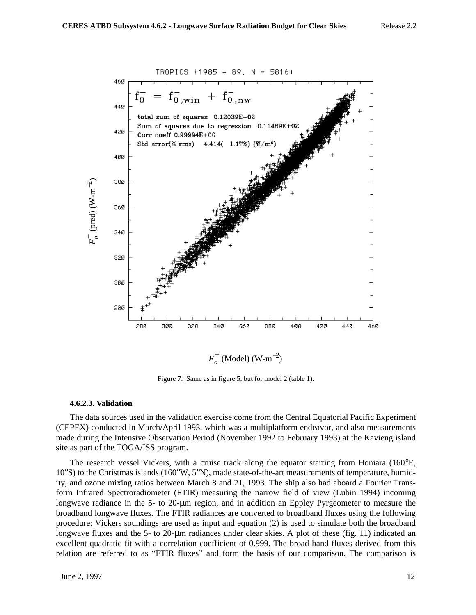

Figure 7. Same as in figure 5, but for model 2 (table 1).

### **4.6.2.3. Validation**

The data sources used in the validation exercise come from the Central Equatorial Pacific Experiment (CEPEX) conducted in March/April 1993, which was a multiplatform endeavor, and also measurements made during the Intensive Observation Period (November 1992 to February 1993) at the Kavieng island site as part of the TOGA/ISS program.

The research vessel Vickers, with a cruise track along the equator starting from Honiara (160°E, 10°S) to the Christmas islands (160°W, 5°N), made state-of-the-art measurements of temperature, humidity, and ozone mixing ratios between March 8 and 21, 1993. The ship also had aboard a Fourier Transform Infrared Spectroradiometer (FTIR) measuring the narrow field of view (Lubin 1994) incoming longwave radiance in the 5- to 20-µm region, and in addition an Eppley Pyrgeometer to measure the broadband longwave fluxes. The FTIR radiances are converted to broadband fluxes using the following procedure: Vickers soundings are used as input and equation (2) is used to simulate both the broadband longwave fluxes and the 5- to 20-µm radiances under clear skies. A plot of these (fig. 11) indicated an excellent quadratic fit with a correlation coefficient of 0.999. The broad band fluxes derived from this relation are referred to as "FTIR fluxes" and form the basis of our comparison. The comparison is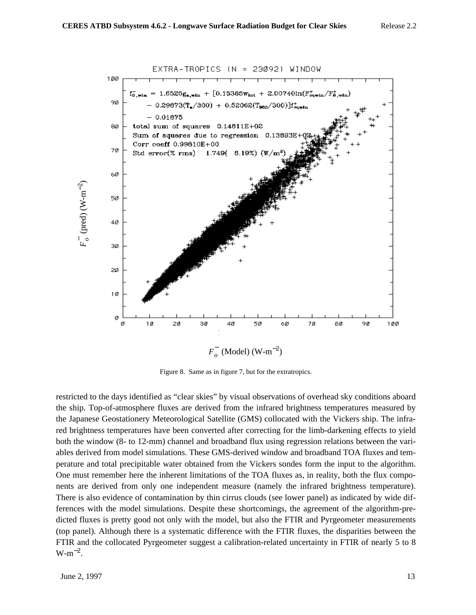

Figure 8. Same as in figure 7, but for the extratropics.

restricted to the days identified as "clear skies" by visual observations of overhead sky conditions aboard the ship. Top-of-atmosphere fluxes are derived from the infrared brightness temperatures measured by the Japanese Geostationery Meteorological Satellite (GMS) collocated with the Vickers ship. The infrared brightness temperatures have been converted after correcting for the limb-darkening effects to yield both the window (8- to 12-mm) channel and broadband flux using regression relations between the variables derived from model simulations. These GMS-derived window and broadband TOA fluxes and temperature and total precipitable water obtained from the Vickers sondes form the input to the algorithm. One must remember here the inherent limitations of the TOA fluxes as, in reality, both the flux components are derived from only one independent measure (namely the infrared brightness temperature). There is also evidence of contamination by thin cirrus clouds (see lower panel) as indicated by wide differences with the model simulations. Despite these shortcomings, the agreement of the algorithm-predicted fluxes is pretty good not only with the model, but also the FTIR and Pyrgeometer measurements (top panel). Although there is a systematic difference with the FTIR fluxes, the disparities between the FTIR and the collocated Pyrgeometer suggest a calibration-related uncertainty in FTIR of nearly 5 to 8  $W-m^{-2}$ .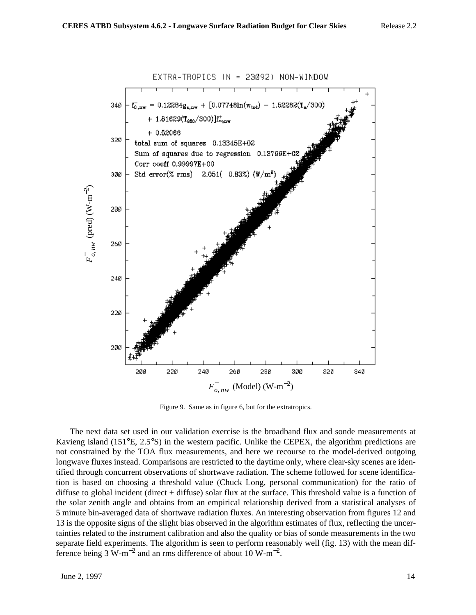![](_page_13_Figure_2.jpeg)

Figure 9. Same as in figure 6, but for the extratropics.

The next data set used in our validation exercise is the broadband flux and sonde measurements at Kavieng island (151°E, 2.5°S) in the western pacific. Unlike the CEPEX, the algorithm predictions are not constrained by the TOA flux measurements, and here we recourse to the model-derived outgoing longwave fluxes instead. Comparisons are restricted to the daytime only, where clear-sky scenes are identified through concurrent observations of shortwave radiation. The scheme followed for scene identification is based on choosing a threshold value (Chuck Long, personal communication) for the ratio of diffuse to global incident (direct + diffuse) solar flux at the surface. This threshold value is a function of the solar zenith angle and obtains from an empirical relationship derived from a statistical analyses of 5 minute bin-averaged data of shortwave radiation fluxes. An interesting observation from figures 12 and 13 is the opposite signs of the slight bias observed in the algorithm estimates of flux, reflecting the uncertainties related to the instrument calibration and also the quality or bias of sonde measurements in the two separate field experiments. The algorithm is seen to perform reasonably well (fig. 13) with the mean difference being 3 W-m<sup>-2</sup> and an rms difference of about 10 W-m<sup>-2</sup>.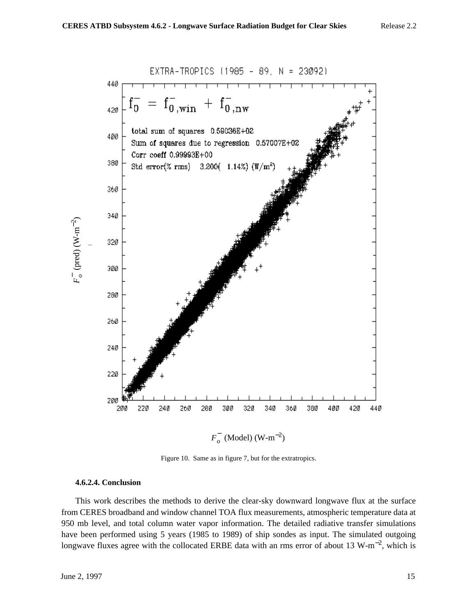44Ø  $= f_{0,\text{win}}^- + f_{0,\text{nw}}^$  $f_0^-$ 42Ø total sum of squares  $0.59036E+02$ 400 Sum of squares due to regression 0.57007E+02 Corr coeff 0.99993E+00 38Ø Std error(% rms) 3.200(  $1.14\%$ ) ( $W/m^2$ ) 36Ø 340 32Ø 300 280 260 24Ø

EXTRA-TROPICS (1985 - 89, N = 23092)

![](_page_14_Figure_2.jpeg)

 $F_{o}^{-}$  (Model) (W-m<sup>-2</sup>)

400

420

44Ø

Figure 10. Same as in figure 7, but for the extratropics.

### **4.6.2.4. Conclusion**

This work describes the methods to derive the clear-sky downward longwave flux at the surface from CERES broadband and window channel TOA flux measurements, atmospheric temperature data at 950 mb level, and total column water vapor information. The detailed radiative transfer simulations have been performed using 5 years (1985 to 1989) of ship sondes as input. The simulated outgoing longwave fluxes agree with the collocated ERBE data with an rms error of about 13 W-m<sup>-2</sup>, which is

(pred) (W-m

*F*− *o*

 $\widehat{\gamma}$ 

![](_page_14_Figure_8.jpeg)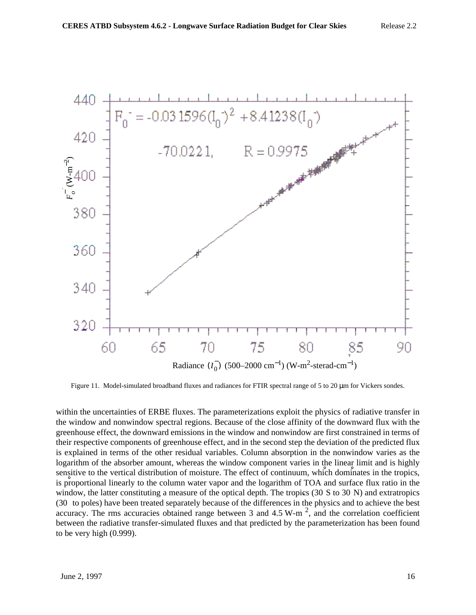![](_page_15_Figure_1.jpeg)

Figure 11. Model-simulated broadband fluxes and radiances for FTIR spectral range of 5 to 20 µm for Vickers sondes.

within the uncertainties of ERBE fluxes. The parameterizations exploit the physics of radiative transfer in the window and nonwindow spectral regions. Because of the close affinity of the downward flux with the greenhouse effect, the downward emissions in the window and nonwindow are first constrained in terms of their respective components of greenhouse effect, and in the second step the deviation of the predicted flux is explained in terms of the other residual variables. Column absorption in the nonwindow varies as the logarithm of the absorber amount, whereas the window component varies in the linear limit and is highly sensitive to the vertical distribution of moisture. The effect of continuum, which dominates in the tropics, is proportional linearly to the column water vapor and the logarithm of TOA and surface flux ratio in the window, the latter constituting a measure of the optical depth. The tropics (30 S to 30 N) and extratropics (30 to poles) have been treated separately because of the differences in the physics and to achieve the best accuracy. The rms accuracies obtained range between 3 and 4.5 W-m<sup>2</sup>, and the correlation coefficient between the radiative transfer-simulated fluxes and that predicted by the parameterization has been found to be very high (0.999).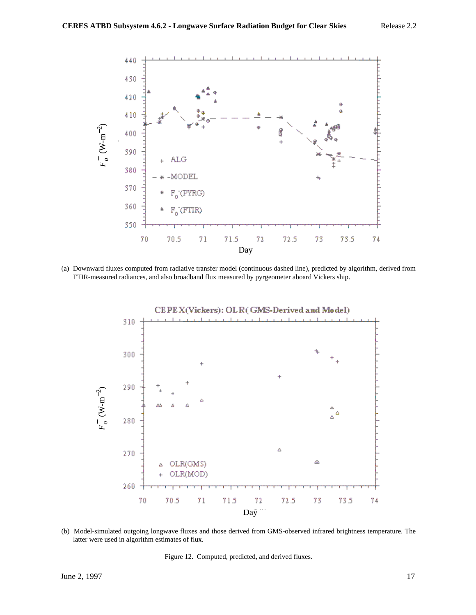![](_page_16_Figure_2.jpeg)

(a) Downward fluxes computed from radiative transfer model (continuous dashed line), predicted by algorithm, derived from FTIR-measured radiances, and also broadband flux measured by pyrgeometer aboard Vickers ship.

![](_page_16_Figure_4.jpeg)

(b) Model-simulated outgoing longwave fluxes and those derived from GMS-observed infrared brightness temperature. The latter were used in algorithm estimates of flux.

Figure 12. Computed, predicted, and derived fluxes.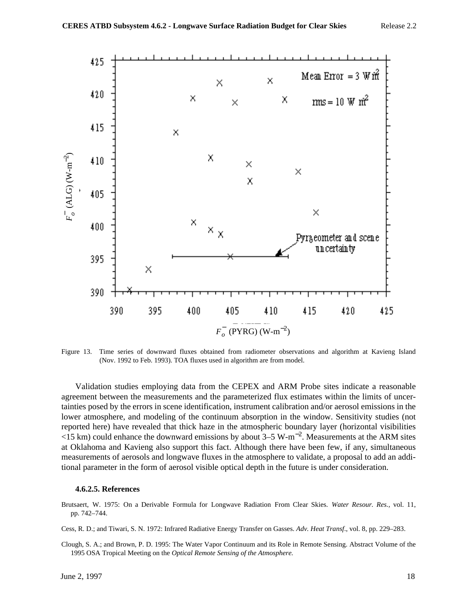![](_page_17_Figure_2.jpeg)

Figure 13. Time series of downward fluxes obtained from radiometer observations and algorithm at Kavieng Island (Nov. 1992 to Feb. 1993). TOA fluxes used in algorithm are from model.

Validation studies employing data from the CEPEX and ARM Probe sites indicate a reasonable agreement between the measurements and the parameterized flux estimates within the limits of uncertainties posed by the errors in scene identification, instrument calibration and/or aerosol emissions in the lower atmosphere, and modeling of the continuum absorption in the window. Sensitivity studies (not reported here) have revealed that thick haze in the atmospheric boundary layer (horizontal visibilities  $\langle$ 15 km) could enhance the downward emissions by about 3–5 W-m<sup>-2</sup>. Measurements at the ARM sites at Oklahoma and Kavieng also support this fact. Although there have been few, if any, simultaneous measurements of aerosols and longwave fluxes in the atmosphere to validate, a proposal to add an additional parameter in the form of aerosol visible optical depth in the future is under consideration.

#### **4.6.2.5. References**

Brutsaert, W. 1975: On a Derivable Formula for Longwave Radiation From Clear Skies. *Water Resour. Res.,* vol. 11, pp. 742–744.

Cess, R. D.; and Tiwari, S. N. 1972: Infrared Radiative Energy Transfer on Gasses. *Adv. Heat Transf*., vol. 8, pp. 229–283.

Clough, S. A.; and Brown, P. D. 1995: The Water Vapor Continuum and its Role in Remote Sensing. Abstract Volume of the 1995 OSA Tropical Meeting on the *Optical Remote Sensing of the Atmosphere.*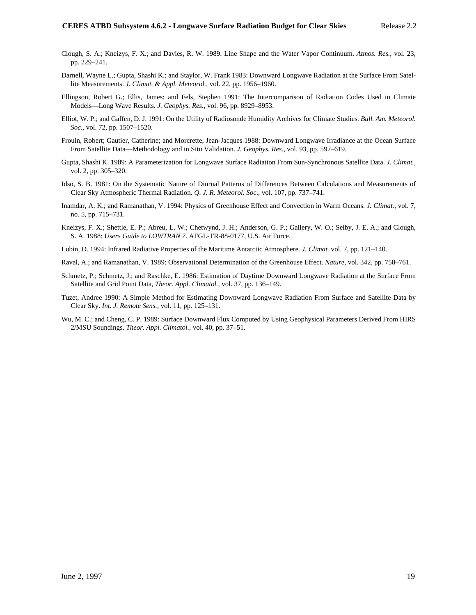- Clough, S. A.; Kneizys, F. X.; and Davies, R. W. 1989. Line Shape and the Water Vapor Continuum. *Atmos. Res.*, vol. 23, pp. 229–241.
- Darnell, Wayne L.; Gupta, Shashi K.; and Staylor, W. Frank 1983: Downward Longwave Radiation at the Surface From Satellite Measurements. *J. Climat. & Appl. Meteorol.*, vol. 22, pp. 1956–1960.
- Ellingson, Robert G.; Ellis, James; and Fels, Stephen 1991: The Intercomparison of Radiation Codes Used in Climate Models—Long Wave Results. *J. Geophys. Res.,* vol. 96, pp. 8929–8953.
- Elliot, W. P.; and Gaffen, D. J. 1991: On the Utility of Radiosonde Humidity Archives for Climate Studies. *Bull. Am. Meteorol. Soc.,* vol. 72, pp. 1507–1520.
- Frouin, Robert; Gautier, Catherine; and Morcrette, Jean-Jacques 1988: Downward Longwave Irradiance at the Ocean Surface From Satellite Data—Methodology and in Situ Validation. *J. Geophys. Res*., vol. 93, pp. 597–619.
- Gupta, Shashi K. 1989: A Parameterization for Longwave Surface Radiation From Sun-Synchronous Satellite Data. *J. Climat.*, vol. 2, pp. 305–320.
- Idso, S. B. 1981: On the Systematic Nature of Diurnal Patterns of Differences Between Calculations and Measurements of Clear Sky Atmospheric Thermal Radiation. *Q. J. R. Meteorol. Soc*., vol. 107, pp. 737–741.
- Inamdar, A. K.; and Ramanathan, V. 1994: Physics of Greenhouse Effect and Convection in Warm Oceans. *J. Climat.,* vol. 7, no. 5, pp. 715–731.
- Kneizys, F. X.; Shettle, E. P.; Abreu, L. W.; Chetwynd, J. H.; Anderson, G. P.; Gallery, W. O.; Selby, J. E. A.; and Clough, S. A. 1988: *Users Guide to LOWTRAN 7*. AFGL-TR-88-0177, U.S. Air Force.
- Lubin, D. 1994: Infrared Radiative Properties of the Maritime Antarctic Atmosphere. *J. Climat.* vol. 7, pp. 121–140.
- Raval, A.; and Ramanathan, V. 1989: Observational Determination of the Greenhouse Effect. *Nature*, vol. 342, pp. 758–761.
- Schmetz, P.; Schmetz, J.; and Raschke, E. 1986: Estimation of Daytime Downward Longwave Radiation at the Surface From Satellite and Grid Point Data, *Theor. Appl. Climatol.,* vol. 37, pp. 136–149.
- Tuzet, Andree 1990: A Simple Method for Estimating Downward Longwave Radiation From Surface and Satellite Data by Clear Sky. *Int. J. Remote Sens.*, vol. 11, pp. 125–131.
- Wu, M. C.; and Cheng, C. P. 1989: Surface Downward Flux Computed by Using Geophysical Parameters Derived From HIRS 2/MSU Soundings. *Theor. Appl. Climatol.,* vol. 40, pp. 37–51.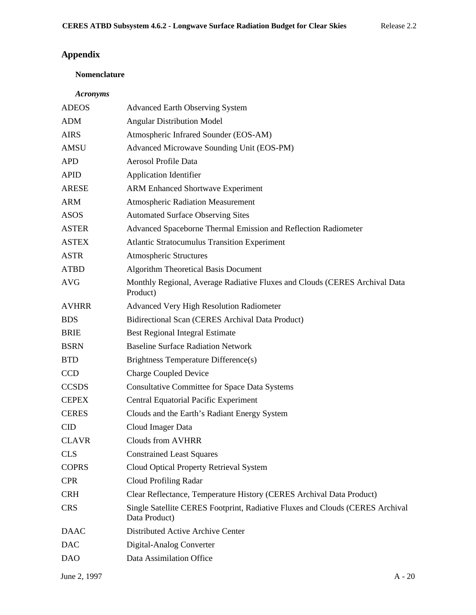# **Appendix**

# **Nomenclature**

# *Acronyms*

| <b>ADEOS</b> | <b>Advanced Earth Observing System</b>                                                         |
|--------------|------------------------------------------------------------------------------------------------|
| <b>ADM</b>   | <b>Angular Distribution Model</b>                                                              |
| <b>AIRS</b>  | Atmospheric Infrared Sounder (EOS-AM)                                                          |
| <b>AMSU</b>  | Advanced Microwave Sounding Unit (EOS-PM)                                                      |
| <b>APD</b>   | Aerosol Profile Data                                                                           |
| <b>APID</b>  | <b>Application Identifier</b>                                                                  |
| <b>ARESE</b> | <b>ARM Enhanced Shortwave Experiment</b>                                                       |
| <b>ARM</b>   | <b>Atmospheric Radiation Measurement</b>                                                       |
| <b>ASOS</b>  | <b>Automated Surface Observing Sites</b>                                                       |
| <b>ASTER</b> | Advanced Spaceborne Thermal Emission and Reflection Radiometer                                 |
| <b>ASTEX</b> | <b>Atlantic Stratocumulus Transition Experiment</b>                                            |
| <b>ASTR</b>  | <b>Atmospheric Structures</b>                                                                  |
| <b>ATBD</b>  | <b>Algorithm Theoretical Basis Document</b>                                                    |
| <b>AVG</b>   | Monthly Regional, Average Radiative Fluxes and Clouds (CERES Archival Data<br>Product)         |
| <b>AVHRR</b> | Advanced Very High Resolution Radiometer                                                       |
| <b>BDS</b>   | Bidirectional Scan (CERES Archival Data Product)                                               |
| <b>BRIE</b>  | <b>Best Regional Integral Estimate</b>                                                         |
| <b>BSRN</b>  | <b>Baseline Surface Radiation Network</b>                                                      |
| <b>BTD</b>   | Brightness Temperature Difference(s)                                                           |
| <b>CCD</b>   | <b>Charge Coupled Device</b>                                                                   |
| <b>CCSDS</b> | <b>Consultative Committee for Space Data Systems</b>                                           |
| <b>CEPEX</b> | <b>Central Equatorial Pacific Experiment</b>                                                   |
| <b>CERES</b> | Clouds and the Earth's Radiant Energy System                                                   |
| <b>CID</b>   | Cloud Imager Data                                                                              |
| <b>CLAVR</b> | <b>Clouds from AVHRR</b>                                                                       |
| <b>CLS</b>   | <b>Constrained Least Squares</b>                                                               |
| <b>COPRS</b> | Cloud Optical Property Retrieval System                                                        |
| <b>CPR</b>   | Cloud Profiling Radar                                                                          |
| <b>CRH</b>   | Clear Reflectance, Temperature History (CERES Archival Data Product)                           |
| <b>CRS</b>   | Single Satellite CERES Footprint, Radiative Fluxes and Clouds (CERES Archival<br>Data Product) |
| <b>DAAC</b>  | Distributed Active Archive Center                                                              |
| <b>DAC</b>   | Digital-Analog Converter                                                                       |
| <b>DAO</b>   | Data Assimilation Office                                                                       |
|              |                                                                                                |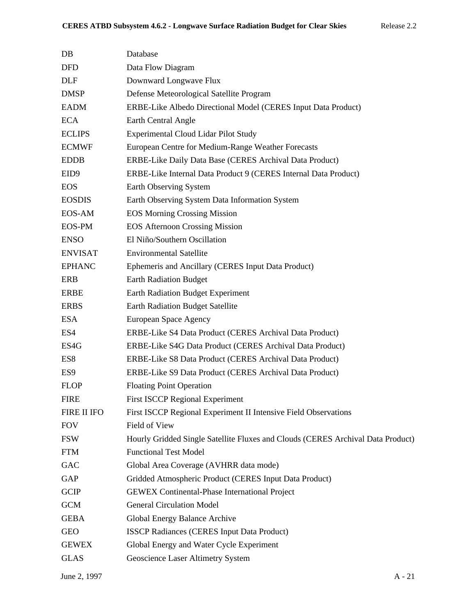| DB               | Database                                                                        |
|------------------|---------------------------------------------------------------------------------|
| <b>DFD</b>       | Data Flow Diagram                                                               |
| <b>DLF</b>       | Downward Longwave Flux                                                          |
| <b>DMSP</b>      | Defense Meteorological Satellite Program                                        |
| <b>EADM</b>      | ERBE-Like Albedo Directional Model (CERES Input Data Product)                   |
| <b>ECA</b>       | Earth Central Angle                                                             |
| <b>ECLIPS</b>    | <b>Experimental Cloud Lidar Pilot Study</b>                                     |
| <b>ECMWF</b>     | European Centre for Medium-Range Weather Forecasts                              |
| <b>EDDB</b>      | ERBE-Like Daily Data Base (CERES Archival Data Product)                         |
| EID <sub>9</sub> | ERBE-Like Internal Data Product 9 (CERES Internal Data Product)                 |
| <b>EOS</b>       | Earth Observing System                                                          |
| <b>EOSDIS</b>    | Earth Observing System Data Information System                                  |
| <b>EOS-AM</b>    | <b>EOS Morning Crossing Mission</b>                                             |
| EOS-PM           | <b>EOS Afternoon Crossing Mission</b>                                           |
| <b>ENSO</b>      | El Niño/Southern Oscillation                                                    |
| <b>ENVISAT</b>   | <b>Environmental Satellite</b>                                                  |
| <b>EPHANC</b>    | Ephemeris and Ancillary (CERES Input Data Product)                              |
| <b>ERB</b>       | <b>Earth Radiation Budget</b>                                                   |
| <b>ERBE</b>      | <b>Earth Radiation Budget Experiment</b>                                        |
| <b>ERBS</b>      | <b>Earth Radiation Budget Satellite</b>                                         |
| <b>ESA</b>       | European Space Agency                                                           |
| ES4              | ERBE-Like S4 Data Product (CERES Archival Data Product)                         |
| ES4G             | ERBE-Like S4G Data Product (CERES Archival Data Product)                        |
| ES8              | ERBE-Like S8 Data Product (CERES Archival Data Product)                         |
| ES <sub>9</sub>  | ERBE-Like S9 Data Product (CERES Archival Data Product)                         |
| <b>FLOP</b>      | <b>Floating Point Operation</b>                                                 |
| <b>FIRE</b>      | <b>First ISCCP Regional Experiment</b>                                          |
| FIRE II IFO      | First ISCCP Regional Experiment II Intensive Field Observations                 |
| <b>FOV</b>       | Field of View                                                                   |
| <b>FSW</b>       | Hourly Gridded Single Satellite Fluxes and Clouds (CERES Archival Data Product) |
| <b>FTM</b>       | <b>Functional Test Model</b>                                                    |
| GAC              | Global Area Coverage (AVHRR data mode)                                          |
| GAP              | Gridded Atmospheric Product (CERES Input Data Product)                          |
| <b>GCIP</b>      | <b>GEWEX</b> Continental-Phase International Project                            |
| <b>GCM</b>       | <b>General Circulation Model</b>                                                |
| <b>GEBA</b>      | Global Energy Balance Archive                                                   |
| <b>GEO</b>       | <b>ISSCP Radiances (CERES Input Data Product)</b>                               |
| <b>GEWEX</b>     | Global Energy and Water Cycle Experiment                                        |
| <b>GLAS</b>      | Geoscience Laser Altimetry System                                               |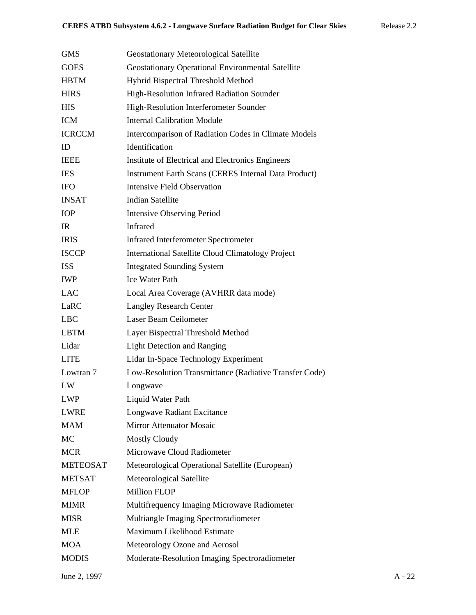| <b>GMS</b>      | <b>Geostationary Meteorological Satellite</b>               |
|-----------------|-------------------------------------------------------------|
| <b>GOES</b>     | Geostationary Operational Environmental Satellite           |
| <b>HBTM</b>     | Hybrid Bispectral Threshold Method                          |
| <b>HIRS</b>     | High-Resolution Infrared Radiation Sounder                  |
| <b>HIS</b>      | High-Resolution Interferometer Sounder                      |
| <b>ICM</b>      | <b>Internal Calibration Module</b>                          |
| <b>ICRCCM</b>   | Intercomparison of Radiation Codes in Climate Models        |
| ID              | Identification                                              |
| <b>IEEE</b>     | Institute of Electrical and Electronics Engineers           |
| <b>IES</b>      | <b>Instrument Earth Scans (CERES Internal Data Product)</b> |
| <b>IFO</b>      | Intensive Field Observation                                 |
| <b>INSAT</b>    | <b>Indian Satellite</b>                                     |
| <b>IOP</b>      | <b>Intensive Observing Period</b>                           |
| IR.             | Infrared                                                    |
| <b>IRIS</b>     | <b>Infrared Interferometer Spectrometer</b>                 |
| <b>ISCCP</b>    | <b>International Satellite Cloud Climatology Project</b>    |
| <b>ISS</b>      | <b>Integrated Sounding System</b>                           |
| <b>IWP</b>      | <b>Ice Water Path</b>                                       |
| <b>LAC</b>      | Local Area Coverage (AVHRR data mode)                       |
| LaRC            | <b>Langley Research Center</b>                              |
| <b>LBC</b>      | Laser Beam Ceilometer                                       |
| <b>LBTM</b>     | Layer Bispectral Threshold Method                           |
| Lidar           | <b>Light Detection and Ranging</b>                          |
| <b>LITE</b>     | Lidar In-Space Technology Experiment                        |
| Lowtran 7       | Low-Resolution Transmittance (Radiative Transfer Code)      |
| LW              | Longwave                                                    |
| <b>LWP</b>      | Liquid Water Path                                           |
| <b>LWRE</b>     | Longwave Radiant Excitance                                  |
| <b>MAM</b>      | <b>Mirror Attenuator Mosaic</b>                             |
| <b>MC</b>       | <b>Mostly Cloudy</b>                                        |
| <b>MCR</b>      | Microwave Cloud Radiometer                                  |
| <b>METEOSAT</b> | Meteorological Operational Satellite (European)             |
| <b>METSAT</b>   | Meteorological Satellite                                    |
| <b>MFLOP</b>    | <b>Million FLOP</b>                                         |
| <b>MIMR</b>     | Multifrequency Imaging Microwave Radiometer                 |
| <b>MISR</b>     | Multiangle Imaging Spectroradiometer                        |
| MLE             | Maximum Likelihood Estimate                                 |
| <b>MOA</b>      | Meteorology Ozone and Aerosol                               |
| <b>MODIS</b>    | Moderate-Resolution Imaging Spectroradiometer               |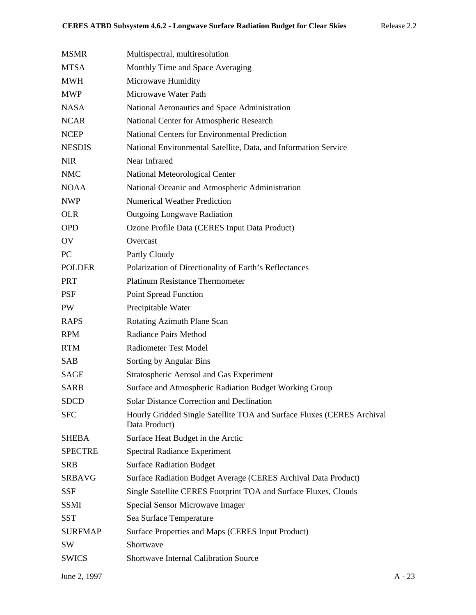| <b>MSMR</b>    | Multispectral, multiresolution                                                          |
|----------------|-----------------------------------------------------------------------------------------|
| <b>MTSA</b>    | Monthly Time and Space Averaging                                                        |
| <b>MWH</b>     | Microwave Humidity                                                                      |
| <b>MWP</b>     | Microwave Water Path                                                                    |
| <b>NASA</b>    | National Aeronautics and Space Administration                                           |
| <b>NCAR</b>    | National Center for Atmospheric Research                                                |
| <b>NCEP</b>    | <b>National Centers for Environmental Prediction</b>                                    |
| <b>NESDIS</b>  | National Environmental Satellite, Data, and Information Service                         |
| <b>NIR</b>     | Near Infrared                                                                           |
| <b>NMC</b>     | National Meteorological Center                                                          |
| <b>NOAA</b>    | National Oceanic and Atmospheric Administration                                         |
| <b>NWP</b>     | <b>Numerical Weather Prediction</b>                                                     |
| <b>OLR</b>     | <b>Outgoing Longwave Radiation</b>                                                      |
| <b>OPD</b>     | Ozone Profile Data (CERES Input Data Product)                                           |
| OV             | Overcast                                                                                |
| PC             | Partly Cloudy                                                                           |
| <b>POLDER</b>  | Polarization of Directionality of Earth's Reflectances                                  |
| <b>PRT</b>     | <b>Platinum Resistance Thermometer</b>                                                  |
| <b>PSF</b>     | <b>Point Spread Function</b>                                                            |
| PW             | Precipitable Water                                                                      |
| <b>RAPS</b>    | Rotating Azimuth Plane Scan                                                             |
| <b>RPM</b>     | Radiance Pairs Method                                                                   |
| <b>RTM</b>     | <b>Radiometer Test Model</b>                                                            |
| SAB            | Sorting by Angular Bins                                                                 |
| SAGE           | Stratospheric Aerosol and Gas Experiment                                                |
| <b>SARB</b>    | Surface and Atmospheric Radiation Budget Working Group                                  |
| <b>SDCD</b>    | <b>Solar Distance Correction and Declination</b>                                        |
| <b>SFC</b>     | Hourly Gridded Single Satellite TOA and Surface Fluxes (CERES Archival<br>Data Product) |
| <b>SHEBA</b>   | Surface Heat Budget in the Arctic                                                       |
| <b>SPECTRE</b> | <b>Spectral Radiance Experiment</b>                                                     |
| <b>SRB</b>     | <b>Surface Radiation Budget</b>                                                         |
| <b>SRBAVG</b>  | Surface Radiation Budget Average (CERES Archival Data Product)                          |
| <b>SSF</b>     | Single Satellite CERES Footprint TOA and Surface Fluxes, Clouds                         |
| <b>SSMI</b>    | Special Sensor Microwave Imager                                                         |
| <b>SST</b>     | Sea Surface Temperature                                                                 |
| <b>SURFMAP</b> | Surface Properties and Maps (CERES Input Product)                                       |
| SW             | Shortwave                                                                               |
| <b>SWICS</b>   | <b>Shortwave Internal Calibration Source</b>                                            |
|                |                                                                                         |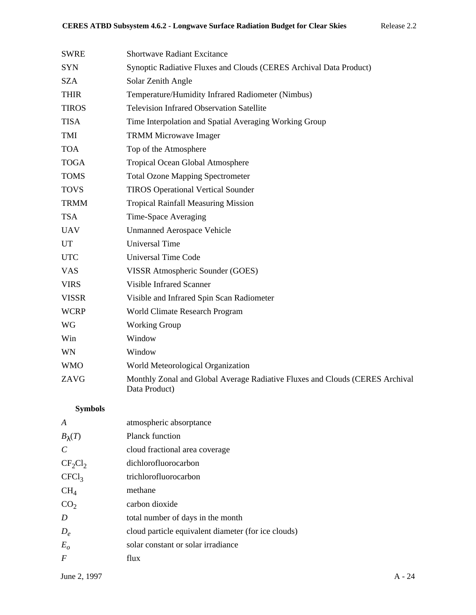| <b>SWRE</b>  | <b>Shortwave Radiant Excitance</b>                                                            |
|--------------|-----------------------------------------------------------------------------------------------|
| <b>SYN</b>   | Synoptic Radiative Fluxes and Clouds (CERES Archival Data Product)                            |
| <b>SZA</b>   | Solar Zenith Angle                                                                            |
| <b>THIR</b>  | Temperature/Humidity Infrared Radiometer (Nimbus)                                             |
| <b>TIROS</b> | <b>Television Infrared Observation Satellite</b>                                              |
| <b>TISA</b>  | Time Interpolation and Spatial Averaging Working Group                                        |
| TMI          | <b>TRMM Microwave Imager</b>                                                                  |
| <b>TOA</b>   | Top of the Atmosphere                                                                         |
| <b>TOGA</b>  | Tropical Ocean Global Atmosphere                                                              |
| <b>TOMS</b>  | <b>Total Ozone Mapping Spectrometer</b>                                                       |
| <b>TOVS</b>  | <b>TIROS Operational Vertical Sounder</b>                                                     |
| <b>TRMM</b>  | <b>Tropical Rainfall Measuring Mission</b>                                                    |
| <b>TSA</b>   | Time-Space Averaging                                                                          |
| <b>UAV</b>   | <b>Unmanned Aerospace Vehicle</b>                                                             |
| UT           | <b>Universal Time</b>                                                                         |
| <b>UTC</b>   | <b>Universal Time Code</b>                                                                    |
| <b>VAS</b>   | VISSR Atmospheric Sounder (GOES)                                                              |
| <b>VIRS</b>  | <b>Visible Infrared Scanner</b>                                                               |
| <b>VISSR</b> | Visible and Infrared Spin Scan Radiometer                                                     |
| <b>WCRP</b>  | World Climate Research Program                                                                |
| WG           | <b>Working Group</b>                                                                          |
| Win          | Window                                                                                        |
| WN           | Window                                                                                        |
| <b>WMO</b>   | World Meteorological Organization                                                             |
| ZAVG         | Monthly Zonal and Global Average Radiative Fluxes and Clouds (CERES Archival<br>Data Product) |

# **Symbols**

| atmospheric absorptance                             |
|-----------------------------------------------------|
| <b>Planck function</b>                              |
| cloud fractional area coverage                      |
| dichlorofluorocarbon                                |
| trichlorofluorocarbon                               |
| methane                                             |
| carbon dioxide                                      |
| total number of days in the month                   |
| cloud particle equivalent diameter (for ice clouds) |
| solar constant or solar irradiance                  |
| flux                                                |
|                                                     |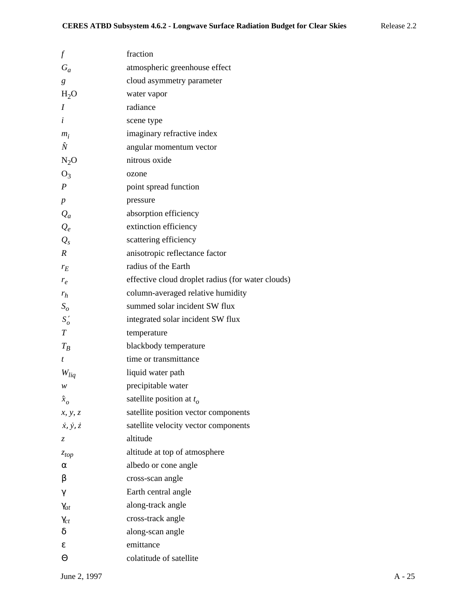| $\scriptstyle{f}$           | fraction                                          |
|-----------------------------|---------------------------------------------------|
| $G_a$                       | atmospheric greenhouse effect                     |
| g                           | cloud asymmetry parameter                         |
| H <sub>2</sub> O            | water vapor                                       |
| $\boldsymbol{I}$            | radiance                                          |
| i                           | scene type                                        |
| $m_i$                       | imaginary refractive index                        |
| Ñ                           | angular momentum vector                           |
| $N_2O$                      | nitrous oxide                                     |
| $O_3$                       | ozone                                             |
| $\boldsymbol{P}$            | point spread function                             |
| $\boldsymbol{p}$            | pressure                                          |
| $Q_a$                       | absorption efficiency                             |
| $Q_e$                       | extinction efficiency                             |
| $Q_{s}$                     | scattering efficiency                             |
| $\boldsymbol{R}$            | anisotropic reflectance factor                    |
| $r_E$                       | radius of the Earth                               |
| $r_e$                       | effective cloud droplet radius (for water clouds) |
| $r_h$                       | column-averaged relative humidity                 |
| $S_{\rm o}$                 | summed solar incident SW flux                     |
| $S'_{o}$                    | integrated solar incident SW flux                 |
| T                           | temperature                                       |
| $T_B$                       | blackbody temperature                             |
| t                           | time or transmittance                             |
| $W_{liq}$                   | liquid water path                                 |
| w                           | precipitable water                                |
| $\hat{x}_o$                 | satellite position at $t_o$                       |
| x, y, z                     | satellite position vector components              |
| $\dot{x}, \dot{y}, \dot{z}$ | satellite velocity vector components              |
| Z                           | altitude                                          |
| $z_{top}$                   | altitude at top of atmosphere                     |
| α                           | albedo or cone angle                              |
| β                           | cross-scan angle                                  |
| γ                           | Earth central angle                               |
| $\gamma_{at}$               | along-track angle                                 |
| $\gamma_{ct}$               | cross-track angle                                 |
| δ                           | along-scan angle                                  |
| ε                           | emittance                                         |
| Θ                           | colatitude of satellite                           |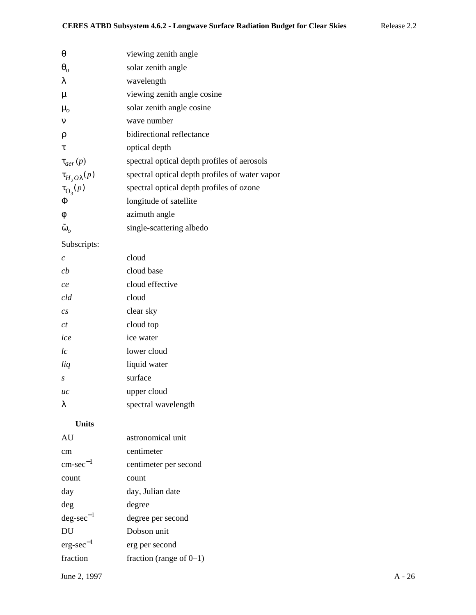| $\theta$                | viewing zenith angle                           |
|-------------------------|------------------------------------------------|
| $\theta$                | solar zenith angle                             |
| λ                       | wavelength                                     |
| $\mu$                   | viewing zenith angle cosine                    |
| $\mu_{o}$               | solar zenith angle cosine                      |
| $\mathbf v$             | wave number                                    |
| ρ                       | bidirectional reflectance                      |
| τ                       | optical depth                                  |
| $\tau_{aer}(p)$         | spectral optical depth profiles of aerosols    |
| $\tau_{H_2O\lambda}(p)$ | spectral optical depth profiles of water vapor |
| $\tau_{\text{O}_3}(p)$  | spectral optical depth profiles of ozone       |
| Φ                       | longitude of satellite                         |
| φ                       | azimuth angle                                  |
| $\tilde{\omega}_o$      | single-scattering albedo                       |

# Subscripts:

| C                | cloud               |
|------------------|---------------------|
| cb               | cloud base          |
| ce               | cloud effective     |
| cld              | cloud               |
| $\overline{c}$ s | clear sky           |
| ct               | cloud top           |
| ice              | ice water           |
| lc               | lower cloud         |
| liq              | liquid water        |
| S                | surface             |
| uc               | upper cloud         |
| λ                | spectral wavelength |
|                  |                     |

# **Units**

| AU                    | astronomical unit          |
|-----------------------|----------------------------|
| cm                    | centimeter                 |
| $\text{cm-sec}^{-1}$  | centimeter per second      |
| count                 | count                      |
| day                   | day, Julian date           |
| deg                   | degree                     |
| $\text{deg-sec}^{-1}$ | degree per second          |
| DU                    | Dobson unit                |
| $erg\text{-}sec^{-1}$ | erg per second             |
| fraction              | fraction (range of $0-1$ ) |
|                       |                            |